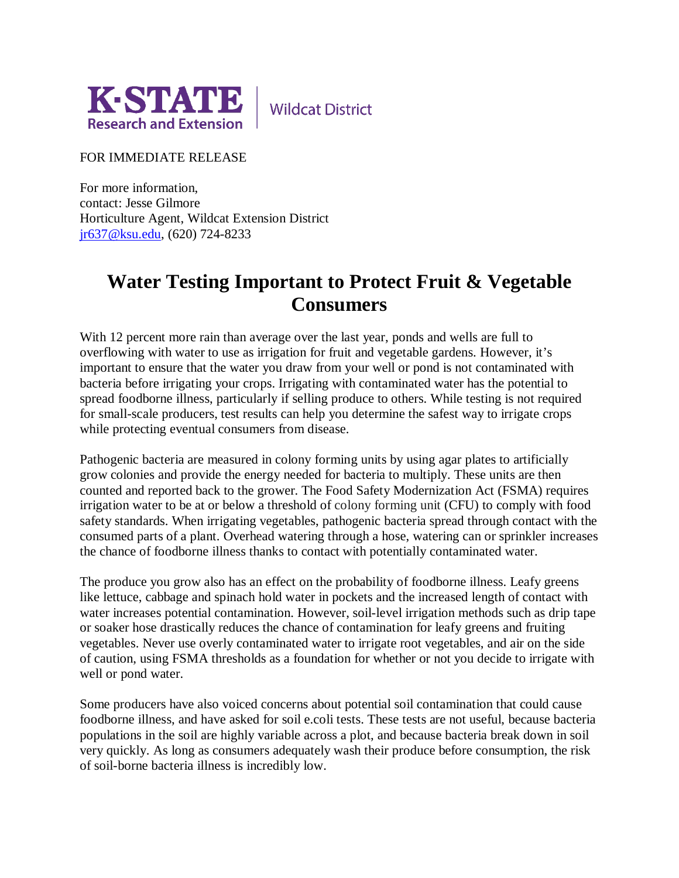

**Wildcat District** 

FOR IMMEDIATE RELEASE

For more information, contact: Jesse Gilmore Horticulture Agent, Wildcat Extension District [jr637@ksu.edu,](mailto:jr637@ksu.edu) (620) 724-8233

## **Water Testing Important to Protect Fruit & Vegetable Consumers**

With 12 percent more rain than average over the last year, ponds and wells are full to overflowing with water to use as irrigation for fruit and vegetable gardens. However, it's important to ensure that the water you draw from your well or pond is not contaminated with bacteria before irrigating your crops. Irrigating with contaminated water has the potential to spread foodborne illness, particularly if selling produce to others. While testing is not required for small-scale producers, test results can help you determine the safest way to irrigate crops while protecting eventual consumers from disease.

Pathogenic bacteria are measured in colony forming units by using agar plates to artificially grow colonies and provide the energy needed for bacteria to multiply. These units are then counted and reported back to the grower. The Food Safety Modernization Act (FSMA) requires irrigation water to be at or below a threshold of colony forming unit (CFU) to comply with food safety standards. When irrigating vegetables, pathogenic bacteria spread through contact with the consumed parts of a plant. Overhead watering through a hose, watering can or sprinkler increases the chance of foodborne illness thanks to contact with potentially contaminated water.

The produce you grow also has an effect on the probability of foodborne illness. Leafy greens like lettuce, cabbage and spinach hold water in pockets and the increased length of contact with water increases potential contamination. However, soil-level irrigation methods such as drip tape or soaker hose drastically reduces the chance of contamination for leafy greens and fruiting vegetables. Never use overly contaminated water to irrigate root vegetables, and air on the side of caution, using FSMA thresholds as a foundation for whether or not you decide to irrigate with well or pond water.

Some producers have also voiced concerns about potential soil contamination that could cause foodborne illness, and have asked for soil e.coli tests. These tests are not useful, because bacteria populations in the soil are highly variable across a plot, and because bacteria break down in soil very quickly. As long as consumers adequately wash their produce before consumption, the risk of soil-borne bacteria illness is incredibly low.